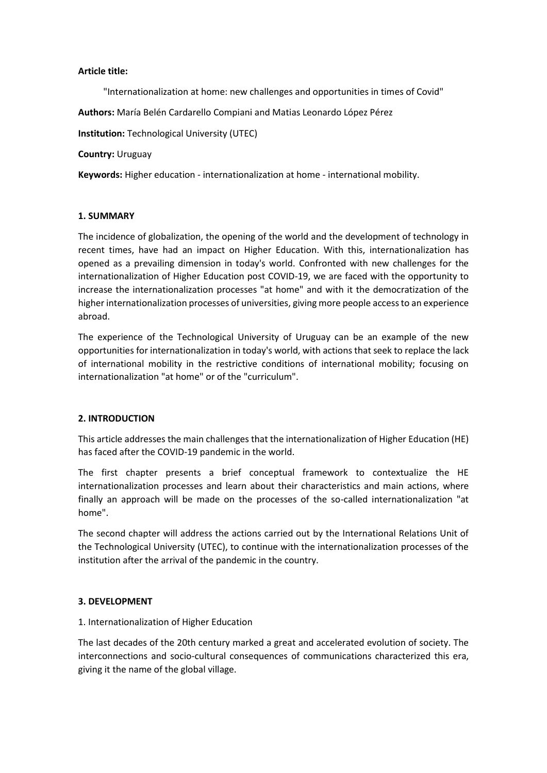## **Article title:**

"Internationalization at home: new challenges and opportunities in times of Covid"

**Authors:** María Belén Cardarello Compiani and Matias Leonardo López Pérez

**Institution:** Technological University (UTEC)

**Country:** Uruguay

**Keywords:** Higher education - internationalization at home - international mobility.

### **1. SUMMARY**

The incidence of globalization, the opening of the world and the development of technology in recent times, have had an impact on Higher Education. With this, internationalization has opened as a prevailing dimension in today's world. Confronted with new challenges for the internationalization of Higher Education post COVID-19, we are faced with the opportunity to increase the internationalization processes "at home" and with it the democratization of the higher internationalization processes of universities, giving more people access to an experience abroad.

The experience of the Technological University of Uruguay can be an example of the new opportunities for internationalization in today's world, with actions that seek to replace the lack of international mobility in the restrictive conditions of international mobility; focusing on internationalization "at home" or of the "curriculum".

## **2. INTRODUCTION**

This article addresses the main challenges that the internationalization of Higher Education (HE) has faced after the COVID-19 pandemic in the world.

The first chapter presents a brief conceptual framework to contextualize the HE internationalization processes and learn about their characteristics and main actions, where finally an approach will be made on the processes of the so-called internationalization "at home".

The second chapter will address the actions carried out by the International Relations Unit of the Technological University (UTEC), to continue with the internationalization processes of the institution after the arrival of the pandemic in the country.

## **3. DEVELOPMENT**

#### 1. Internationalization of Higher Education

The last decades of the 20th century marked a great and accelerated evolution of society. The interconnections and socio-cultural consequences of communications characterized this era, giving it the name of the global village.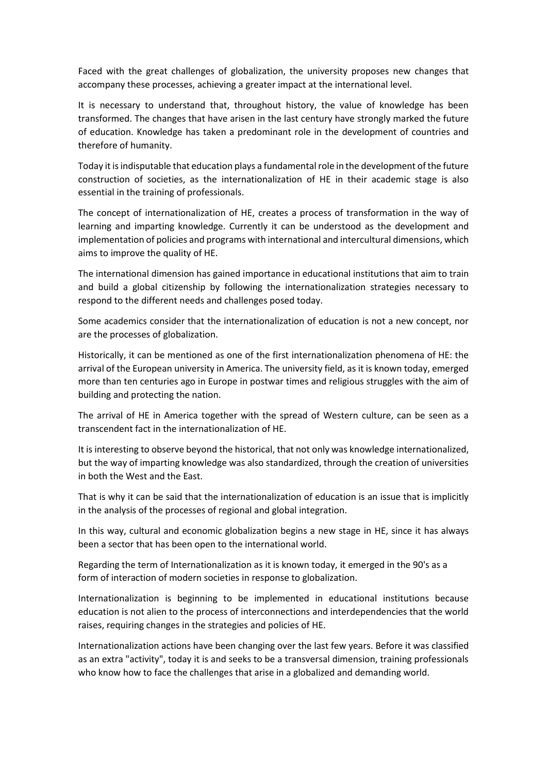Faced with the great challenges of globalization, the university proposes new changes that accompany these processes, achieving a greater impact at the international level.

It is necessary to understand that, throughout history, the value of knowledge has been transformed. The changes that have arisen in the last century have strongly marked the future of education. Knowledge has taken a predominant role in the development of countries and therefore of humanity.

Today it is indisputable that education plays a fundamental role in the development of the future construction of societies, as the internationalization of HE in their academic stage is also essential in the training of professionals.

The concept of internationalization of HE, creates a process of transformation in the way of learning and imparting knowledge. Currently it can be understood as the development and implementation of policies and programs with international and intercultural dimensions, which aims to improve the quality of HE.

The international dimension has gained importance in educational institutions that aim to train and build a global citizenship by following the internationalization strategies necessary to respond to the different needs and challenges posed today.

Some academics consider that the internationalization of education is not a new concept, nor are the processes of globalization.

Historically, it can be mentioned as one of the first internationalization phenomena of HE: the arrival of the European university in America. The university field, as it is known today, emerged more than ten centuries ago in Europe in postwar times and religious struggles with the aim of building and protecting the nation.

The arrival of HE in America together with the spread of Western culture, can be seen as a transcendent fact in the internationalization of HE.

It is interesting to observe beyond the historical, that not only was knowledge internationalized, but the way of imparting knowledge was also standardized, through the creation of universities in both the West and the East.

That is why it can be said that the internationalization of education is an issue that is implicitly in the analysis of the processes of regional and global integration.

In this way, cultural and economic globalization begins a new stage in HE, since it has always been a sector that has been open to the international world.

Regarding the term of Internationalization as it is known today, it emerged in the 90's as a form of interaction of modern societies in response to globalization.

Internationalization is beginning to be implemented in educational institutions because education is not alien to the process of interconnections and interdependencies that the world raises, requiring changes in the strategies and policies of HE.

Internationalization actions have been changing over the last few years. Before it was classified as an extra "activity", today it is and seeks to be a transversal dimension, training professionals who know how to face the challenges that arise in a globalized and demanding world.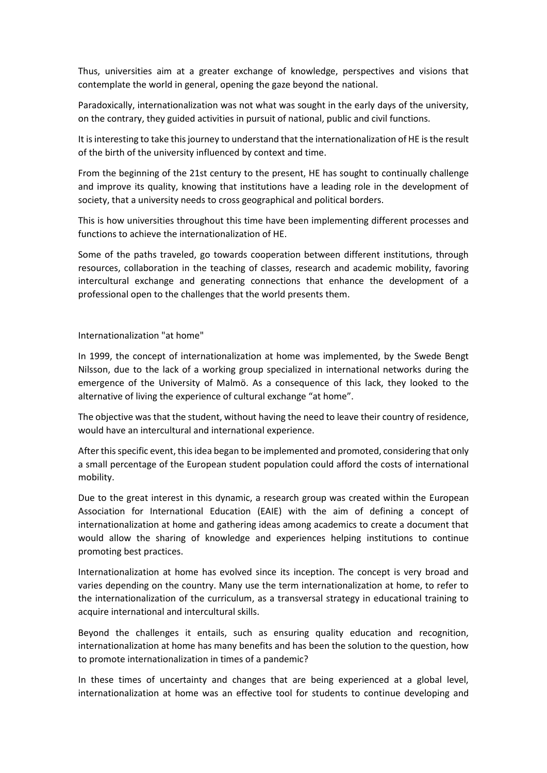Thus, universities aim at a greater exchange of knowledge, perspectives and visions that contemplate the world in general, opening the gaze beyond the national.

Paradoxically, internationalization was not what was sought in the early days of the university, on the contrary, they guided activities in pursuit of national, public and civil functions.

It is interesting to take this journey to understand that the internationalization of HE is the result of the birth of the university influenced by context and time.

From the beginning of the 21st century to the present, HE has sought to continually challenge and improve its quality, knowing that institutions have a leading role in the development of society, that a university needs to cross geographical and political borders.

This is how universities throughout this time have been implementing different processes and functions to achieve the internationalization of HE.

Some of the paths traveled, go towards cooperation between different institutions, through resources, collaboration in the teaching of classes, research and academic mobility, favoring intercultural exchange and generating connections that enhance the development of a professional open to the challenges that the world presents them.

Internationalization "at home"

In 1999, the concept of internationalization at home was implemented, by the Swede Bengt Nilsson, due to the lack of a working group specialized in international networks during the emergence of the University of Malmö. As a consequence of this lack, they looked to the alternative of living the experience of cultural exchange "at home".

The objective was that the student, without having the need to leave their country of residence, would have an intercultural and international experience.

After this specific event, this idea began to be implemented and promoted, considering that only a small percentage of the European student population could afford the costs of international mobility.

Due to the great interest in this dynamic, a research group was created within the European Association for International Education (EAIE) with the aim of defining a concept of internationalization at home and gathering ideas among academics to create a document that would allow the sharing of knowledge and experiences helping institutions to continue promoting best practices.

Internationalization at home has evolved since its inception. The concept is very broad and varies depending on the country. Many use the term internationalization at home, to refer to the internationalization of the curriculum, as a transversal strategy in educational training to acquire international and intercultural skills.

Beyond the challenges it entails, such as ensuring quality education and recognition, internationalization at home has many benefits and has been the solution to the question, how to promote internationalization in times of a pandemic?

In these times of uncertainty and changes that are being experienced at a global level, internationalization at home was an effective tool for students to continue developing and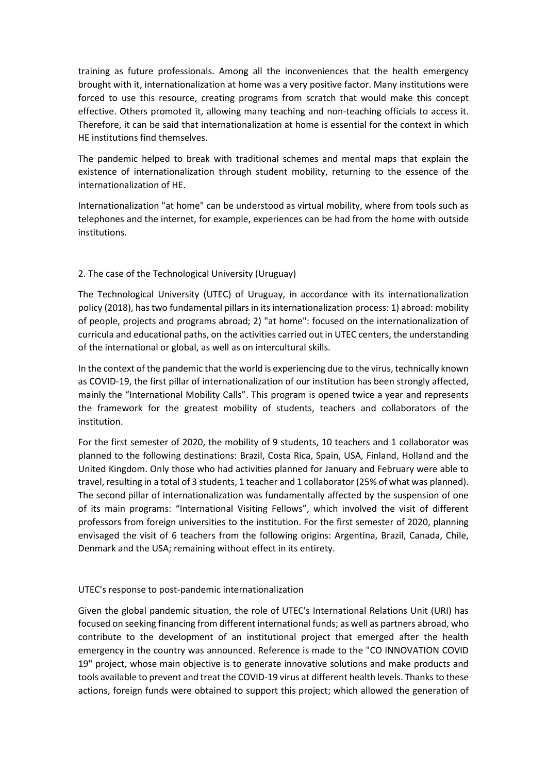training as future professionals. Among all the inconveniences that the health emergency brought with it, internationalization at home was a very positive factor. Many institutions were forced to use this resource, creating programs from scratch that would make this concept effective. Others promoted it, allowing many teaching and non-teaching officials to access it. Therefore, it can be said that internationalization at home is essential for the context in which HE institutions find themselves.

The pandemic helped to break with traditional schemes and mental maps that explain the existence of internationalization through student mobility, returning to the essence of the internationalization of HE.

Internationalization "at home" can be understood as virtual mobility, where from tools such as telephones and the internet, for example, experiences can be had from the home with outside institutions.

# 2. The case of the Technological University (Uruguay)

The Technological University (UTEC) of Uruguay, in accordance with its internationalization policy (2018), has two fundamental pillars in its internationalization process: 1) abroad: mobility of people, projects and programs abroad; 2) "at home": focused on the internationalization of curricula and educational paths, on the activities carried out in UTEC centers, the understanding of the international or global, as well as on intercultural skills.

In the context of the pandemic that the world is experiencing due to the virus, technically known as COVID-19, the first pillar of internationalization of our institution has been strongly affected, mainly the "International Mobility Calls". This program is opened twice a year and represents the framework for the greatest mobility of students, teachers and collaborators of the institution.

For the first semester of 2020, the mobility of 9 students, 10 teachers and 1 collaborator was planned to the following destinations: Brazil, Costa Rica, Spain, USA, Finland, Holland and the United Kingdom. Only those who had activities planned for January and February were able to travel, resulting in a total of 3 students, 1 teacher and 1 collaborator (25% of what was planned). The second pillar of internationalization was fundamentally affected by the suspension of one of its main programs: "International Visiting Fellows", which involved the visit of different professors from foreign universities to the institution. For the first semester of 2020, planning envisaged the visit of 6 teachers from the following origins: Argentina, Brazil, Canada, Chile, Denmark and the USA; remaining without effect in its entirety.

# UTEC's response to post-pandemic internationalization

Given the global pandemic situation, the role of UTEC's International Relations Unit (URI) has focused on seeking financing from different international funds; as well as partners abroad, who contribute to the development of an institutional project that emerged after the health emergency in the country was announced. Reference is made to the "CO INNOVATION COVID 19" project, whose main objective is to generate innovative solutions and make products and tools available to prevent and treat the COVID-19 virus at different health levels. Thanks to these actions, foreign funds were obtained to support this project; which allowed the generation of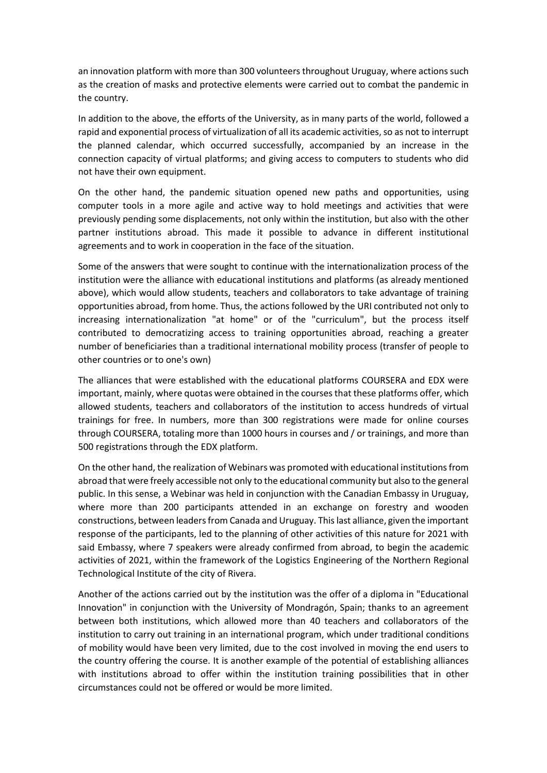an innovation platform with more than 300 volunteers throughout Uruguay, where actions such as the creation of masks and protective elements were carried out to combat the pandemic in the country.

In addition to the above, the efforts of the University, as in many parts of the world, followed a rapid and exponential process of virtualization of all its academic activities, so as not to interrupt the planned calendar, which occurred successfully, accompanied by an increase in the connection capacity of virtual platforms; and giving access to computers to students who did not have their own equipment.

On the other hand, the pandemic situation opened new paths and opportunities, using computer tools in a more agile and active way to hold meetings and activities that were previously pending some displacements, not only within the institution, but also with the other partner institutions abroad. This made it possible to advance in different institutional agreements and to work in cooperation in the face of the situation.

Some of the answers that were sought to continue with the internationalization process of the institution were the alliance with educational institutions and platforms (as already mentioned above), which would allow students, teachers and collaborators to take advantage of training opportunities abroad, from home. Thus, the actions followed by the URI contributed not only to increasing internationalization "at home" or of the "curriculum", but the process itself contributed to democratizing access to training opportunities abroad, reaching a greater number of beneficiaries than a traditional international mobility process (transfer of people to other countries or to one's own)

The alliances that were established with the educational platforms COURSERA and EDX were important, mainly, where quotas were obtained in the courses that these platforms offer, which allowed students, teachers and collaborators of the institution to access hundreds of virtual trainings for free. In numbers, more than 300 registrations were made for online courses through COURSERA, totaling more than 1000 hours in courses and / or trainings, and more than 500 registrations through the EDX platform.

On the other hand, the realization of Webinars was promoted with educational institutions from abroad that were freely accessible not only to the educational community but also to the general public. In this sense, a Webinar was held in conjunction with the Canadian Embassy in Uruguay, where more than 200 participants attended in an exchange on forestry and wooden constructions, between leaders from Canada and Uruguay. This last alliance, given the important response of the participants, led to the planning of other activities of this nature for 2021 with said Embassy, where 7 speakers were already confirmed from abroad, to begin the academic activities of 2021, within the framework of the Logistics Engineering of the Northern Regional Technological Institute of the city of Rivera.

Another of the actions carried out by the institution was the offer of a diploma in "Educational Innovation" in conjunction with the University of Mondragón, Spain; thanks to an agreement between both institutions, which allowed more than 40 teachers and collaborators of the institution to carry out training in an international program, which under traditional conditions of mobility would have been very limited, due to the cost involved in moving the end users to the country offering the course. It is another example of the potential of establishing alliances with institutions abroad to offer within the institution training possibilities that in other circumstances could not be offered or would be more limited.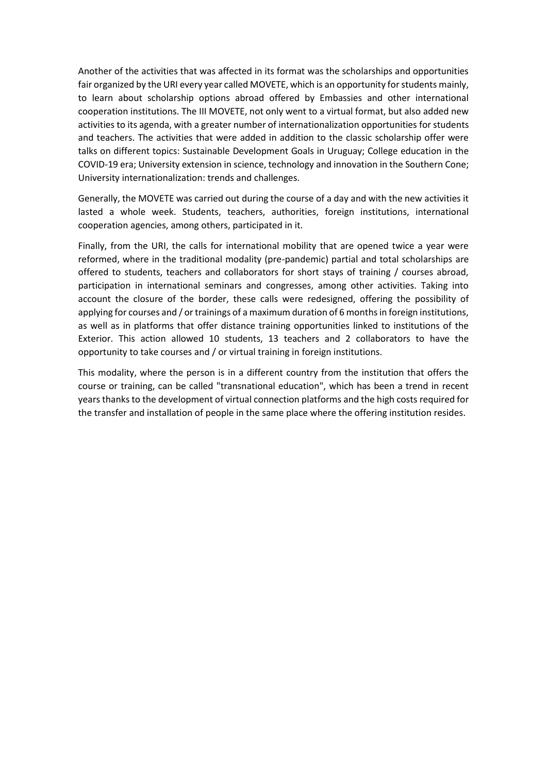Another of the activities that was affected in its format was the scholarships and opportunities fair organized by the URI every year called MOVETE, which is an opportunity for students mainly, to learn about scholarship options abroad offered by Embassies and other international cooperation institutions. The III MOVETE, not only went to a virtual format, but also added new activities to its agenda, with a greater number of internationalization opportunities for students and teachers. The activities that were added in addition to the classic scholarship offer were talks on different topics: Sustainable Development Goals in Uruguay; College education in the COVID-19 era; University extension in science, technology and innovation in the Southern Cone; University internationalization: trends and challenges.

Generally, the MOVETE was carried out during the course of a day and with the new activities it lasted a whole week. Students, teachers, authorities, foreign institutions, international cooperation agencies, among others, participated in it.

Finally, from the URI, the calls for international mobility that are opened twice a year were reformed, where in the traditional modality (pre-pandemic) partial and total scholarships are offered to students, teachers and collaborators for short stays of training / courses abroad, participation in international seminars and congresses, among other activities. Taking into account the closure of the border, these calls were redesigned, offering the possibility of applying for courses and / or trainings of a maximum duration of 6 months in foreign institutions, as well as in platforms that offer distance training opportunities linked to institutions of the Exterior. This action allowed 10 students, 13 teachers and 2 collaborators to have the opportunity to take courses and / or virtual training in foreign institutions.

This modality, where the person is in a different country from the institution that offers the course or training, can be called "transnational education", which has been a trend in recent years thanks to the development of virtual connection platforms and the high costs required for the transfer and installation of people in the same place where the offering institution resides.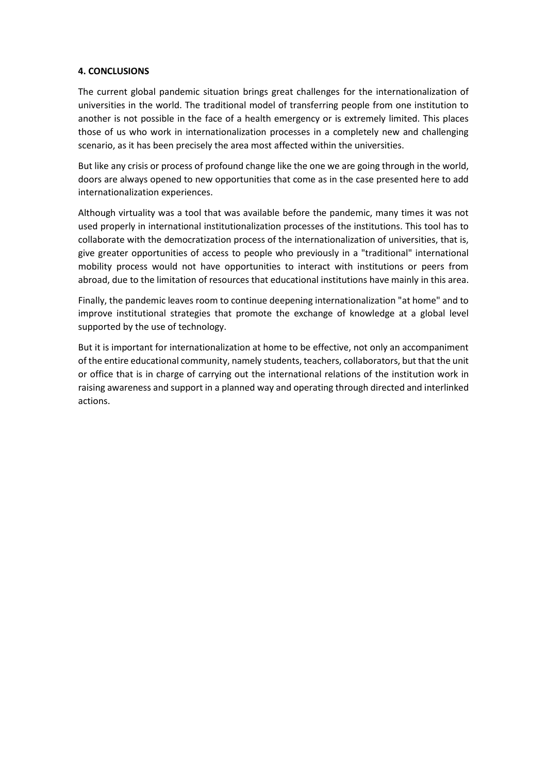## **4. CONCLUSIONS**

The current global pandemic situation brings great challenges for the internationalization of universities in the world. The traditional model of transferring people from one institution to another is not possible in the face of a health emergency or is extremely limited. This places those of us who work in internationalization processes in a completely new and challenging scenario, as it has been precisely the area most affected within the universities.

But like any crisis or process of profound change like the one we are going through in the world, doors are always opened to new opportunities that come as in the case presented here to add internationalization experiences.

Although virtuality was a tool that was available before the pandemic, many times it was not used properly in international institutionalization processes of the institutions. This tool has to collaborate with the democratization process of the internationalization of universities, that is, give greater opportunities of access to people who previously in a "traditional" international mobility process would not have opportunities to interact with institutions or peers from abroad, due to the limitation of resources that educational institutions have mainly in this area.

Finally, the pandemic leaves room to continue deepening internationalization "at home" and to improve institutional strategies that promote the exchange of knowledge at a global level supported by the use of technology.

But it is important for internationalization at home to be effective, not only an accompaniment of the entire educational community, namely students, teachers, collaborators, but that the unit or office that is in charge of carrying out the international relations of the institution work in raising awareness and support in a planned way and operating through directed and interlinked actions.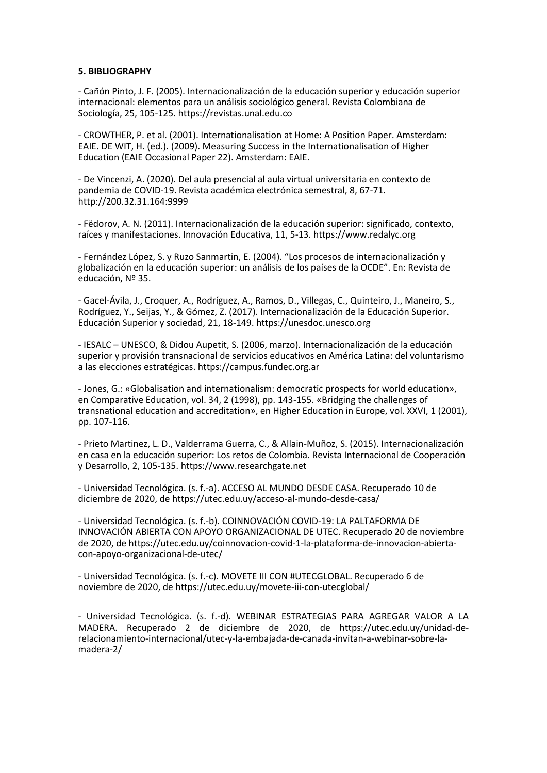#### **5. BIBLIOGRAPHY**

- Cañón Pinto, J. F. (2005). Internacionalización de la educación superior y educación superior internacional: elementos para un análisis sociológico general. Revista Colombiana de Sociología, 25, 105-125. https://revistas.unal.edu.co

- CROWTHER, P. et al. (2001). Internationalisation at Home: A Position Paper. Amsterdam: EAIE. DE WIT, H. (ed.). (2009). Measuring Success in the Internationalisation of Higher Education (EAIE Occasional Paper 22). Amsterdam: EAIE.

- De Vincenzi, A. (2020). Del aula presencial al aula virtual universitaria en contexto de pandemia de COVID-19. Revista académica electrónica semestral, 8, 67-71. http://200.32.31.164:9999

- Fëdorov, A. N. (2011). Internacionalización de la educación superior: significado, contexto, raíces y manifestaciones. Innovación Educativa, 11, 5-13. https://www.redalyc.org

- Fernández López, S. y Ruzo Sanmartin, E. (2004). "Los procesos de internacionalización y globalización en la educación superior: un análisis de los países de la OCDE". En: Revista de educación, Nº 35.

- Gacel-Ávila, J., Croquer, A., Rodríguez, A., Ramos, D., Villegas, C., Quinteiro, J., Maneiro, S., Rodríguez, Y., Seijas, Y., & Gómez, Z. (2017). Internacionalización de la Educación Superior. Educación Superior y sociedad, 21, 18-149. https://unesdoc.unesco.org

- IESALC – UNESCO, & Didou Aupetit, S. (2006, marzo). Internacionalización de la educación superior y provisión transnacional de servicios educativos en América Latina: del voluntarismo a las elecciones estratégicas. https://campus.fundec.org.ar

- Jones, G.: «Globalisation and internationalism: democratic prospects for world education», en Comparative Education, vol. 34, 2 (1998), pp. 143-155. «Bridging the challenges of transnational education and accreditation», en Higher Education in Europe, vol. XXVI, 1 (2001), pp. 107-116.

- Prieto Martinez, L. D., Valderrama Guerra, C., & Allain-Muñoz, S. (2015). Internacionalización en casa en la educación superior: Los retos de Colombia. Revista Internacional de Cooperación y Desarrollo, 2, 105-135. https://www.researchgate.net

- Universidad Tecnológica. (s. f.-a). ACCESO AL MUNDO DESDE CASA. Recuperado 10 de diciembre de 2020, de https://utec.edu.uy/acceso-al-mundo-desde-casa/

- Universidad Tecnológica. (s. f.-b). COINNOVACIÓN COVID-19: LA PALTAFORMA DE INNOVACIÓN ABIERTA CON APOYO ORGANIZACIONAL DE UTEC. Recuperado 20 de noviembre de 2020, de https://utec.edu.uy/coinnovacion-covid-1-la-plataforma-de-innovacion-abiertacon-apoyo-organizacional-de-utec/

- Universidad Tecnológica. (s. f.-c). MOVETE III CON #UTECGLOBAL. Recuperado 6 de noviembre de 2020, de https://utec.edu.uy/movete-iii-con-utecglobal/

- Universidad Tecnológica. (s. f.-d). WEBINAR ESTRATEGIAS PARA AGREGAR VALOR A LA MADERA. Recuperado 2 de diciembre de 2020, de https://utec.edu.uy/unidad-derelacionamiento-internacional/utec-y-la-embajada-de-canada-invitan-a-webinar-sobre-lamadera-2/